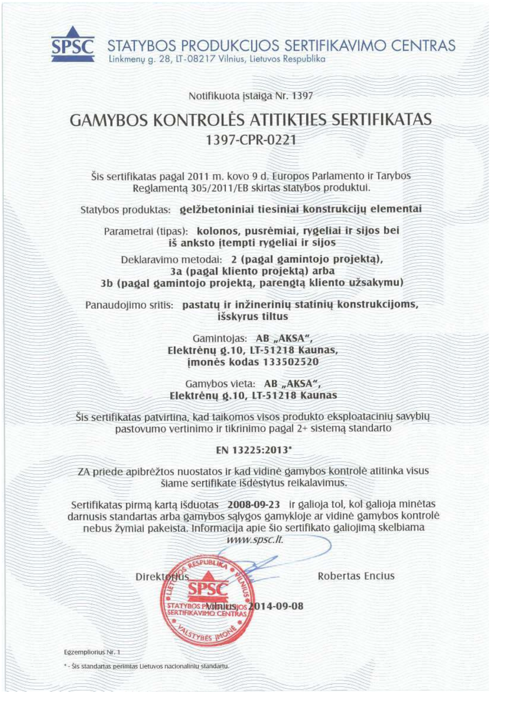STATYBOS PRODUKCIJOS SERTIFIKAVIMO CENTRAS Linkmenu g. 28, LT-08217 Vilnius, Lietuvos Respublika

Notifikuota įstaiga Nr. 1397

# **GAMYBOS KONTROLĖS ATITIKTIES SERTIFIKATAS** 1397-CPR-0221

Šis sertifikatas pagal 2011 m. kovo 9 d. Europos Parlamento ir Tarybos Reglamenta 305/2011/EB skirtas statybos produktui.

Statybos produktas: gelžbetoniniai tiesiniai konstrukcijų elementai

Parametrai (tipas): kolonos, pusrėmiai, rygeliai ir sijos bei iš anksto itempti rygeliai ir sijos

Deklaravimo metodai: 2 (pagal gamintojo projekta), 3a (pagal kliento projektą) arba 3b (pagal gamintojo projektą, parengtą kliento užsakymu)

Panaudojimo sritis: pastatų ir inžinerinių statinių konstrukcijoms, išskyrus tiltus

> Gamintojas: AB "AKSA", Elektrėnų g.10, LT-51218 Kaunas, imonės kodas 133502520

Gamybos vieta: AB "AKSA", Elektrėnų g.10, LT-51218 Kaunas

Sis sertifikatas patvirtina, kad taikomos visos produkto eksploatacinių savybių pastovumo vertinimo ir tikrinimo pagal 2+ sistemą standarto

EN 13225:2013\*

ZA priede apibrėžtos nuostatos ir kad vidinė gamybos kontrolė atitinka visus šiame sertifikate išdėstytus reikalavimus.

Sertifikatas pirmą kartą išduotas 2008-09-23 ir galioja tol, kol galioja minėtas darnusis standartas arba gamybos sąlygos gamykloje ar vidinė gamybos kontrolė nebus žymiai pakeista. Informacija apie šio sertifikato galiojimą skelbiama

www.spsc.lt.

**STATYBOS PAGINIEISIOS 2014-09-08** 

**ERTIFIKAVIMO CENTRA** 

**STYBES I** 

Robertas Encius

Egzempliorius Nr. 1

\* - Šis standartas perimtas Lietuvos nacionaliniu standartu.

Direktotius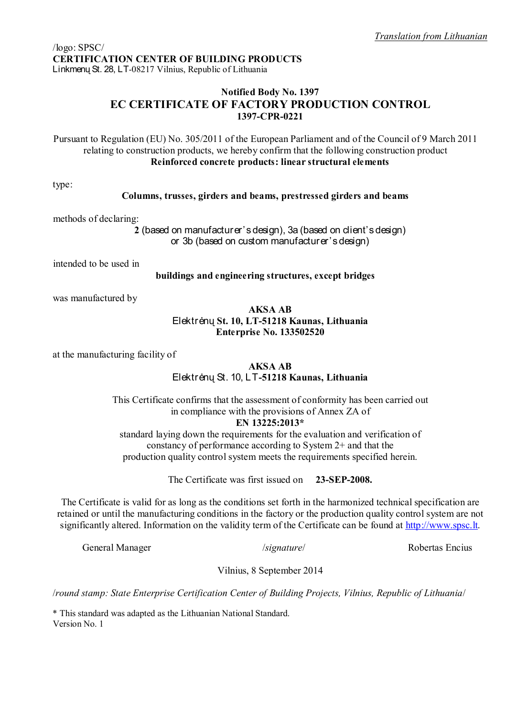# **Notified Body No. 1397 EC CERTIFICATE OF FACTORY PRODUCTION CONTROL 1397-CPR-0221**

Pursuant to Regulation (EU) No. 305/2011 of the European Parliament and of the Council of 9 March 2011 relating to construction products, we hereby confirm that the following construction product **Reinforced concrete products: linear structural elements**

type:

#### **Columns, trusses, girders and beams, prestressed girders and beams**

methods of declaring:

**2** (based on manufacturer's design), 3a (based on client's design) or 3b (based on custom manufacturer's design)

intended to be used in

#### **buildings and engineering structures, except bridges**

was manufactured by

#### **AKSA AB**

## Elektr÷nų **St. 10, LT-51218 Kaunas, Lithuania Enterprise No. 133502520**

at the manufacturing facility of

# **AKSA AB**

## Elektr÷nų St. 10, LT**-51218 Kaunas, Lithuania**

This Certificate confirms that the assessment of conformity has been carried out in compliance with the provisions of Annex ZA of **EN 13225:2013\***

standard laying down the requirements for the evaluation and verification of constancy of performance according to System 2+ and that the production quality control system meets the requirements specified herein.

The Certificate was first issued on **23-SEP-2008.** 

The Certificate is valid for as long as the conditions set forth in the harmonized technical specification are retained or until the manufacturing conditions in the factory or the production quality control system are not significantly altered. Information on the validity term of the Certificate can be found at http://www.spsc.lt.

General Manager /*signature*/ Robertas Encius

Vilnius, 8 September 2014

/*round stamp: State Enterprise Certification Center of Building Projects, Vilnius, Republic of Lithuania*/

\* This standard was adapted as the Lithuanian National Standard. Version No. 1